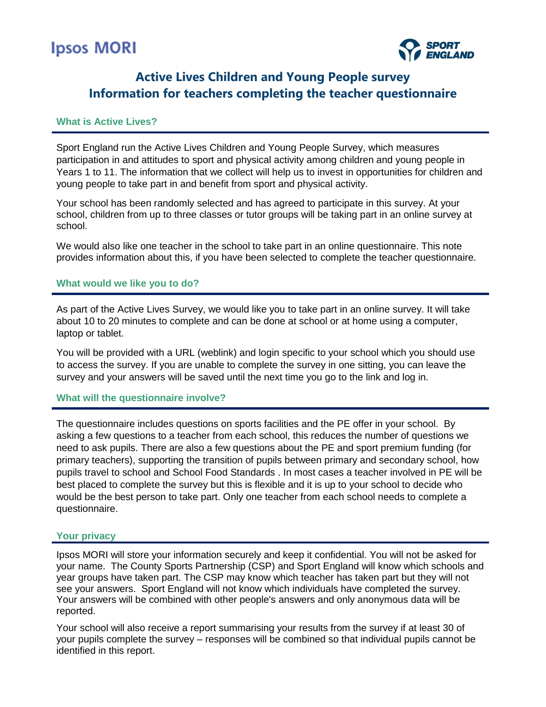# **Ipsos MORI**



# **Active Lives Children and Young People survey Information for teachers completing the teacher questionnaire**

# **What is Active Lives?**

Sport England run the Active Lives Children and Young People Survey, which measures participation in and attitudes to sport and physical activity among children and young people in Years 1 to 11. The information that we collect will help us to invest in opportunities for children and young people to take part in and benefit from sport and physical activity.

Your school has been randomly selected and has agreed to participate in this survey. At your school, children from up to three classes or tutor groups will be taking part in an online survey at school.

We would also like one teacher in the school to take part in an online questionnaire. This note provides information about this, if you have been selected to complete the teacher questionnaire.

#### **What would we like you to do?**

As part of the Active Lives Survey, we would like you to take part in an online survey. It will take about 10 to 20 minutes to complete and can be done at school or at home using a computer, laptop or tablet.

You will be provided with a URL (weblink) and login specific to your school which you should use to access the survey. If you are unable to complete the survey in one sitting, you can leave the survey and your answers will be saved until the next time you go to the link and log in.

### **What will the questionnaire involve?**

The questionnaire includes questions on sports facilities and the PE offer in your school. By asking a few questions to a teacher from each school, this reduces the number of questions we need to ask pupils. There are also a few questions about the PE and sport premium funding (for primary teachers), supporting the transition of pupils between primary and secondary school, how pupils travel to school and School Food Standards . In most cases a teacher involved in PE will be best placed to complete the survey but this is flexible and it is up to your school to decide who would be the best person to take part. Only one teacher from each school needs to complete a questionnaire.

## **Your privacy**

Ipsos MORI will store your information securely and keep it confidential. You will not be asked for your name. The County Sports Partnership (CSP) and Sport England will know which schools and year groups have taken part. The CSP may know which teacher has taken part but they will not see your answers. Sport England will not know which individuals have completed the survey. Your answers will be combined with other people's answers and only anonymous data will be reported.

Your school will also receive a report summarising your results from the survey if at least 30 of your pupils complete the survey – responses will be combined so that individual pupils cannot be identified in this report.